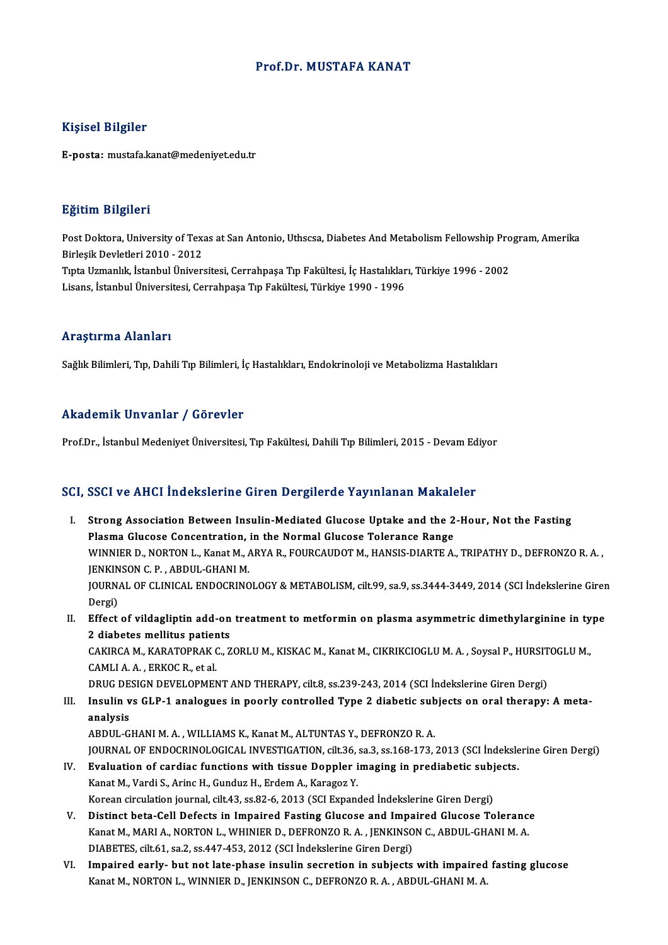## Prof.Dr. MUSTAFA KANAT

## Kişisel Bilgiler

E-posta: mustafa.kanat@medeniyet.edu.tr

## Eğitim Bilgileri

**Eğitim Bilgileri**<br>Post Doktora, University of Texas at San Antonio, Uthscsa, Diabetes And Metabolism Fellowship Program, Amerika<br>Pirlesik Dovletleri 2010, ...2012 Birles Brighton<br>Post Doktora, University of Texa<br>Birleşik Devletleri 2010 - 2012<br>Tuta Uzmanlık, İstanbul Üniver Post Doktora, University of Texas at San Antonio, Uthscsa, Diabetes And Metabolism Fellowship Pro<br>Birleşik Devletleri 2010 - 2012<br>Tıpta Uzmanlık, İstanbul Üniversitesi, Cerrahpaşa Tıp Fakültesi, İç Hastalıkları, Türkiye 19 Birleşik Devletleri 2010 - 2012<br>Tıpta Uzmanlık, İstanbul Üniversitesi, Cerrahpaşa Tıp Fakültesi, İç Hastalıkları, Türkiye 1996 - 2002<br>Lisans, İstanbul Üniversitesi, Cerrahpaşa Tıp Fakültesi, Türkiye 1990 - 1996

### Araştırma Alanları

Sağlık Bilimleri, Tıp, Dahili Tıp Bilimleri, İç Hastalıkları, Endokrinoloji ve Metabolizma Hastalıkları

## Akademik Unvanlar / Görevler

Prof.Dr., İstanbul Medeniyet Üniversitesi, Tıp Fakültesi, Dahili Tıp Bilimleri, 2015 - Devam Ediyor

## SCI, SSCI ve AHCI İndekslerine Giren Dergilerde Yayınlanan Makaleler

- CI, SSCI ve AHCI Indekslerine Giren Dergilerde Yayınlanan Makaleler<br>I. Strong Association Between Insulin-Mediated Glucose Uptake and the 2-Hour, Not the Fasting<br>Risama Glucose Concentration in the Normal Glucose Telerance Plasma Glucose Concentration, in the Normal Glucose Uptake and the 2<br>Plasma Glucose Concentration, in the Normal Glucose Tolerance Range<br>WINNIER D. NORTON L. Kanat M. ARVA R. FOURCAUDOT M. HANSIS DIARTE A. Strong Association Between Insulin-Mediated Glucose Uptake and the 2-Hour, Not the Fasting<br>Plasma Glucose Concentration, in the Normal Glucose Tolerance Range<br>WINNIER D., NORTON L., Kanat M., ARYA R., FOURCAUDOT M., HANSIS Plasma Glucose Concentration,<br>WINNIER D., NORTON L., Kanat M., A<br>JENKINSON C. P. , ABDUL-GHANI M.<br>JOUPNAL OF CLINICAL ENDOCRING WINNIER D., NORTON L., Kanat M., ARYA R., FOURCAUDOT M., HANSIS-DIARTE A., TRIPATHY D., DEFRONZO R. A. ,<br>JENKINSON C. P. , ABDUL-GHANI M.<br>JOURNAL OF CLINICAL ENDOCRINOLOGY & METABOLISM, cilt.99, sa.9, ss.3444-3449, 2014 (S JENKINSON C. P. , ABDUL-GHANI M.<br>JOURNAL OF CLINICAL ENDOCRINOLOGY & METABOLISM, cilt.99, sa.9, ss.3444-3449, 2014 (SCI İndekslerine Giren<br>Dergi) I . JOURNAL OF CLINICAL ENDOCRINOLOGY & METABOLISM, cilt. 199, sa. 9, ss. 3444-3449, 2014 (SCI İndekslerine Girer<br>Dergi)<br>II. Effect of vildagliptin add-on treatment to metformin on plasma asymmetric dimethylarginine in typ
- Dergi)<br>Effect of vildagliptin add-on<br>2 diabetes mellitus patients<br>CAKIRCA M. KARATOPRAK C. 7 Effect of vildagliptin add-on treatment to metformin on plasma asymmetric dimethylarginine in ty<br>2 diabetes mellitus patients<br>CAKIRCA M., KARATOPRAK C., ZORLU M., KISKAC M., Kanat M., CIKRIKCIOGLU M. A. , Soysal P., HURSIT

2 diabetes mellitus patier<br>CAKIRCA M., KARATOPRAK (<br>CAMLI A. A. , ERKOC R., et al.<br>PRUC DESICN DEVELOPMEN CAKIRCA M., KARATOPRAK C., ZORLU M., KISKAC M., Kanat M., CIKRIKCIOGLU M. A. , Soysal P., HURSIT<br>CAMLI A. A. , ERKOC R., et al.<br>DRUG DESIGN DEVELOPMENT AND THERAPY, cilt.8, ss.239-243, 2014 (SCI İndekslerine Giren Dergi)<br>I

## CAMLI A. A. , ERKOC R., et al.<br>DRUG DESIGN DEVELOPMENT AND THERAPY, cilt.8, ss.239-243, 2014 (SCI İndekslerine Giren Dergi)<br>III. Insulin vs GLP-1 analogues in poorly controlled Type 2 diabetic subjects on oral therapy: DRUG DESIGN DEVELOPMENT AND THERAPY, cilt.8, ss.239-243, 2014 (SCI İndekslerine Giren Dergi)<br>Insulin vs GLP-1 analogues in poorly controlled Type 2 diabetic subjects on oral therapy:<br>analysis<br>ABDUL-GHANI M. A., WILLIAMS K. Insulin vs GLP-1 analogues in poorly controlled Type 2 diabetic sub<br>analysis<br>ABDUL-GHANI M. A. , WILLIAMS K., Kanat M., ALTUNTAS Y., DEFRONZO R. A.<br>JOUPMAL OF ENDOCRINOLOGICAL INVESTICATION silt 26, sa 2, sc 169, 172

JOURNAL OF ENDOCRINOLOGICAL INVESTIGATION, cilt.36, sa.3, ss.168-173, 2013 (SCI İndekslerine Giren Dergi) ABDUL-GHANI M. A., WILLIAMS K., Kanat M., ALTUNTAS Y., DEFRONZO R. A.<br>JOURNAL OF ENDOCRINOLOGICAL INVESTIGATION, cilt.36, sa.3, ss.168-173, 2013 (SCI Indeksle<br>IV. Evaluation of cardiac functions with tissue Doppler imaging

- JOURNAL OF ENDOCRINOLOGICAL INVESTIGATION, cilt.36,<br>**Evaluation of cardiac functions with tissue Doppler i**<br>Kanat M., Vardi S., Arinc H., Gunduz H., Erdem A., Karagoz Y.<br>Kanaan sirsulation journal, silt 43, ss 82, 6, 2012 Evaluation of cardiac functions with tissue Doppler imaging in prediabetic subj<br>Kanat M., Vardi S., Arinc H., Gunduz H., Erdem A., Karagoz Y.<br>Korean circulation journal, cilt.43, ss.82-6, 2013 (SCI Expanded İndekslerine Gi Kanat M., Vardi S., Arinc H., Gunduz H., Erdem A., Karagoz Y.<br>Korean circulation journal, cilt.43, ss.82-6, 2013 (SCI Expanded Indekslerine Giren Dergi)<br>V. Distinct beta-Cell Defects in Impaired Fasting Glucose and Impaire
- Korean circulation journal, cilt.43, ss.82-6, 2013 (SCI Expanded Indekslerine Giren Dergi)<br>Distinct beta-Cell Defects in Impaired Fasting Glucose and Impaired Glucose Tolerance<br>Kanat M., MARI A., NORTON L., WHINIER D., DEF Distinct beta-Cell Defects in Impaired Fasting Glucose and Impa<br>Kanat M., MARI A., NORTON L., WHINIER D., DEFRONZO R. A. , JENKINSO<br>DIABETES, cilt.61, sa.2, ss.447-453, 2012 (SCI İndekslerine Giren Dergi)<br>Impaired oarly, b Kanat M., MARI A., NORTON L., WHINIER D., DEFRONZO R. A. , JENKINSON C., ABDUL-GHANI M. A.<br>DIABETES, cilt.61, sa.2, ss.447-453, 2012 (SCI Indekslerine Giren Dergi)<br>VI. Impaired early- but not late-phase insulin secretion i
- DIABETES, cilt.61, sa.2, ss.447-453, 2012 (SCI İndekslerine Giren Dergi)<br>Impaired early- but not late-phase insulin secretion in subjects with impaired<br>Kanat M., NORTON L., WINNIER D., JENKINSON C., DEFRONZO R. A. , ABDUL-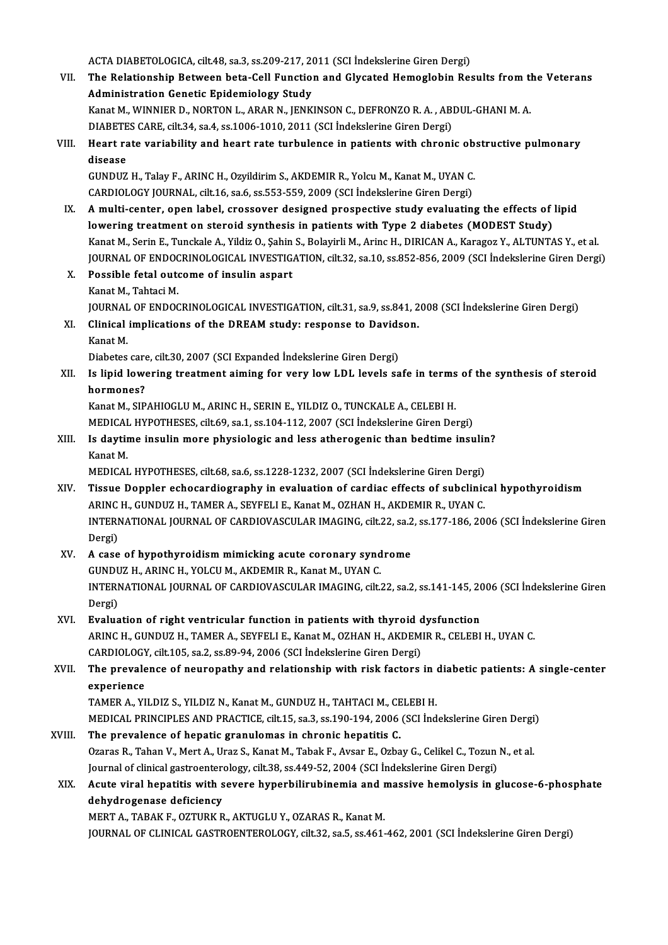ACTA DIABETOLOGICA, cilt.48, sa.3, ss.209-217, 2011 (SCI İndekslerine Giren Dergi)<br>The Belationship Between beta Cell Eunstien and Glyssted Hemaglebin Bes ACTA DIABETOLOGICA, cilt.48, sa.3, ss.209-217, 2011 (SCI İndekslerine Giren Dergi)<br>VII. The Relationship Between beta-Cell Function and Glycated Hemoglobin Results from the Veterans<br>Administration Constis Enidemielegy ACTA DIABETOLOGICA, cilt.48, sa.3, ss.209-217, 20<br>The Relationship Between beta-Cell Function<br>Administration Genetic Epidemiology Study<br>Kanat M. WINNIER D. NORTON L. ARAR N. JENK The Relationship Between beta-Cell Function and Glycated Hemoglobin Results from the Administration Genetic Epidemiology Study<br>Kanat M., WINNIER D., NORTON L., ARAR N., JENKINSON C., DEFRONZO R. A. , ABDUL-GHANI M. A.<br>DIAB Administration Genetic Epidemiology Study<br>Kanat M., WINNIER D., NORTON L., ARAR N., JENKINSON C., DEFRONZO R. A. , ABDUL-GHANI M. A.<br>DIABETES CARE, cilt.34, sa.4, ss.1006-1010, 2011 (SCI İndekslerine Giren Dergi) Kanat M., WINNIER D., NORTON L., ARAR N., JENKINSON C., DEFRONZO R. A. , ABDUL-GHANI M. A.<br>DIABETES CARE, cilt.34, sa.4, ss.1006-1010, 2011 (SCI indekslerine Giren Dergi)<br>VIII. Heart rate variability and heart rate turbule disease<br>GUNDUZ H., Talay F., ARINC H., Ozyildirim S., AKDEMIR R., Yolcu M., Kanat M., UYAN C. Heart rate variability and heart rate turbulence in patients with chronic ob<br>disease<br>GUNDUZ H., Talay F., ARINC H., Ozyildirim S., AKDEMIR R., Yolcu M., Kanat M., UYAN C.<br>CARDIOLOCY JOURNAL silt 16, 82.6, 85.552, 559, 2009 CARDIOLOGY JOURNAL, cilt.16, sa.6, ss.553-559, 2009 (SCI İndekslerine Giren Dergi) GUNDUZ H., Talay F., ARINC H., Ozyildirim S., AKDEMIR R., Yolcu M., Kanat M., UYAN C.<br>CARDIOLOGY JOURNAL, cilt.16, sa.6, ss.553-559, 2009 (SCI Indekslerine Giren Dergi)<br>IX. A multi-center, open label, crossover designed pr CARDIOLOGY JOURNAL, cilt.16, sa.6, ss.553-559, 2009 (SCI Indekslerine Giren Dergi)<br>A multi-center, open label, crossover designed prospective study evaluating the effects of<br>Jowering treatment on steroid synthesis in patie A multi-center, open label, crossover designed prospective study evaluating the effects of lipid<br>lowering treatment on steroid synthesis in patients with Type 2 diabetes (MODEST Study)<br>Kanat M., Serin E., Tunckale A., Yild lowering treatment on steroid synthesis in patients with Type 2 diabetes (MODEST Study)<br>Kanat M., Serin E., Tunckale A., Yildiz O., Şahin S., Bolayirli M., Arinc H., DIRICAN A., Karagoz Y., ALTUNTAS Y., et al.<br>JOURNAL OF E Kanat M., Serin E., Tunckale A., Yildiz O., Şahin<br>JOURNAL OF ENDOCRINOLOGICAL INVESTIG.<br>X. Possible fetal outcome of insulin aspart<br>Kanat M. Tabtagi M. **JOURNAL OF ENDOC<br>Possible fetal out<br>Kanat M., Tahtaci M.<br>JOUPNAL OF ENDOC** Kanat M., Tahtaci M.<br>JOURNAL OF ENDOCRINOLOGICAL INVESTIGATION, cilt.31, sa.9, ss.841, 2008 (SCI İndekslerine Giren Dergi) Kanat M., Tahtaci M.<br>JOURNAL OF ENDOCRINOLOGICAL INVESTIGATION, cilt.31, sa.9, ss.841, 2<br>XI. Clinical implications of the DREAM study: response to Davidson.<br>Kanat M JOURNAL<br>Clinical<br>Kanat M.<br>Disbates Clinical implications of the DREAM study: response to Davids<br>Kanat M.<br>Diabetes care, cilt.30, 2007 (SCI Expanded İndekslerine Giren Dergi)<br>Is linid lowening treatment siming for your low LDL loyals so Kanat M.<br>Diabetes care, cilt.30, 2007 (SCI Expanded Indekslerine Giren Dergi)<br>XII. Is lipid lowering treatment aiming for very low LDL levels safe in terms of the synthesis of steroid<br>hormones? Diabetes care<br>Is lipid lowe<br>hormones?<br>Kanat M. SIP Is lipid lowering treatment aiming for very low LDL levels safe in terms<br>hormones?<br>Kanat M., SIPAHIOGLU M., ARINC H., SERIN E., YILDIZ O., TUNCKALE A., CELEBI H.<br>MEDICAL HYPOTHESES, cilt 69, sa.1, ss.104, 112, 2007 (SCLInd hormones?<br>Kanat M., SIPAHIOGLU M., ARINC H., SERIN E., YILDIZ O., TUNCKALE A., CELEBI H.<br>MEDICAL HYPOTHESES, cilt.69, sa.1, ss.104-112, 2007 (SCI İndekslerine Giren Dergi)<br>Is daytime insulin mare physiolagis and less ather Kanat M., SIPAHIOGLU M., ARINC H., SERIN E., YILDIZ O., TUNCKALE A., CELEBI H.<br>MEDICAL HYPOTHESES, cilt.69, sa.1, ss.104-112, 2007 (SCI İndekslerine Giren Dergi)<br>XIII. Is daytime insulin more physiologic and less atherogen MEDICAL<br>Is daytir<br>Kanat M.<br>MEDICAL Is daytime insulin more physiologic and less atherogenic than bedtime insuline<br>Kanat M.<br>MEDICAL HYPOTHESES, cilt.68, sa.6, ss.1228-1232, 2007 (SCI İndekslerine Giren Dergi)<br>Tissue Dennlar eshegardiosranbu in evaluation of Kanat M.<br>MEDICAL HYPOTHESES, cilt.68, sa.6, ss.1228-1232, 2007 (SCI İndekslerine Giren Dergi)<br>XIV. Tissue Doppler echocardiography in evaluation of cardiac effects of subclinical hypothyroidism<br>APINC H. CUNDUZ H. TAMER MEDICAL HYPOTHESES, cilt.68, sa.6, ss.1228-1232, 2007 (SCI İndekslerine Giren Dergi)<br>Tissue Doppler echocardiography in evaluation of cardiac effects of subclinic<br>ARINC H., GUNDUZ H., TAMER A., SEYFELI E., Kanat M., OZHAN Tissue Doppler echocardiography in evaluation of cardiac effects of subclinical hypothyroidism<br>ARINC H., GUNDUZ H., TAMER A., SEYFELI E., Kanat M., OZHAN H., AKDEMIR R., UYAN C.<br>INTERNATIONAL JOURNAL OF CARDIOVASCULAR IMAG ARINC<br>INTERI<br>Dergi)<br>A case INTERNATIONAL JOURNAL OF CARDIOVASCULAR IMAGING, cilt.22, sa.2<br>Dergi)<br>XV. A case of hypothyroidism mimicking acute coronary syndrome<br>CUNDUZ H ARING H VOLGUM AEDEMIR R Kanat M UVAN C Dergi)<br>A case of hypothyroidism mimicking acute coronary synd<br>GUNDUZ H., ARINC H., YOLCU M., AKDEMIR R., Kanat M., UYAN C.<br>INTERNATIONAL JOURNAL OF CARDIOVASCULAR IMACINC, sike A case of hypothyroidism mimicking acute coronary syndrome<br>GUNDUZ H., ARINC H., YOLCU M., AKDEMIR R., Kanat M., UYAN C.<br>INTERNATIONAL JOURNAL OF CARDIOVASCULAR IMAGING, cilt.22, sa.2, ss.141-145, 2006 (SCI İndekslerine Gir GUND<mark>U</mark><br>INTERI<br>Dergi)<br>Evalua INTERNATIONAL JOURNAL OF CARDIOVASCULAR IMAGING, cilt.22, sa.2, ss.141-145, 20<br>Dergi)<br>XVI. Evaluation of right ventricular function in patients with thyroid dysfunction<br>APING H. CUNDUZ H. TAMER A. SEVEELLE Kapet M. QZHAN H Dergi)<br>**Evaluation of right ventricular function in patients with thyroid dysfunction**<br>ARINC H., GUNDUZ H., TAMER A., SEYFELI E., Kanat M., OZHAN H., AKDEMIR R., CELEBI H., UYAN C.<br>CARDIOLOGY, cilt.105, sa.2, ss.89-94, 200 XVI. Evaluation of right ventricular function in patients with thyroid dysfunction ARINC H., GUNDUZ H., TAMER A., SEYFELI E., Kanat M., OZHAN H., AKDEMIR R., CELEBI H., UYAN C.<br>CARDIOLOGY, cilt.105, sa.2, ss.89-94, 2006 (SCI İndekslerine Giren Dergi)<br>XVII. The prevalence of neuropathy and relationship wi CARDIOLOGY<br>The prevale<br>experience<br>TAMEP A VI The prevalence of neuropathy and relationship with risk factors in (<br>experience<br>TAMER A., YILDIZ S., YILDIZ N., Kanat M., GUNDUZ H., TAHTACI M., CELEBI H.<br>MEDICAL PRINCIPLES AND PRACTICE sit 15, so 2, ss 190, 194, 2006 (SC experience<br>TAMER A., YILDIZ S., YILDIZ N., Kanat M., GUNDUZ H., TAHTACI M., CELEBI H.<br>MEDICAL PRINCIPLES AND PRACTICE, cilt.15, sa.3, ss.190-194, 2006 (SCI İndekslerine Giren Dergi)<br>The prevelence of benatis grapulemes in TAMER A., YILDIZ S., YILDIZ N., Kanat M., GUNDUZ H., TAHTACI M., CELEBI H.<br>MEDICAL PRINCIPLES AND PRACTICE, cilt.15, sa.3, ss.190-194, 2006 (SCI Ind<br>XVIII. The prevalence of hepatic granulomas in chronic hepatitis C. MEDICAL PRINCIPLES AND PRACTICE, cilt.15, sa.3, ss.190-194, 2006 (SCI İndekslerine Giren Dergi<br>The prevalence of hepatic granulomas in chronic hepatitis C.<br>Ozaras R., Tahan V., Mert A., Uraz S., Kanat M., Tabak F., Avsar E Ozaras R., Tahan V., Mert A., Uraz S., Kanat M., Tabak F., Avsar E., Ozbay G., Celikel C., Tozun N., et al. Journal of clinical gastroenterology, cilt.38, ss.449-52, 2004 (SCI Indekslerine Giren Dergi)

## XIX. Acute viral hepatitis with severe hyperbilirubinemia andmassive hemolysis in glucose-6-phosphate

MERTA.,TABAKF.,OZTURKR.,AKTUGLUY.,OZARASR.,KanatM. JOURNAL OF CLINICAL GASTROENTEROLOGY, cilt.32, sa.5, ss.461-462, 2001 (SCI İndekslerine Giren Dergi)